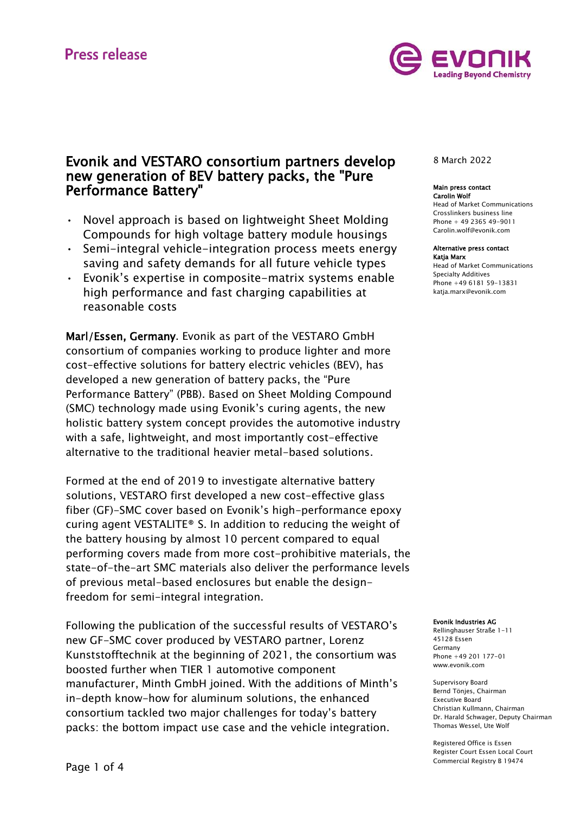

# Evonik and VESTARO consortium partners develop new generation of BEV battery packs, the "Pure Performance Battery"

- Novel approach is based on lightweight Sheet Molding Compounds for high voltage battery module housings
- Semi-integral vehicle-integration process meets energy saving and safety demands for all future vehicle types
- Evonik's expertise in composite-matrix systems enable high performance and fast charging capabilities at reasonable costs

Marl/Essen, Germany. Evonik as part of the VESTARO GmbH consortium of companies working to produce lighter and more cost-effective solutions for battery electric vehicles (BEV), has developed a new generation of battery packs, the "Pure Performance Battery" (PBB). Based on Sheet Molding Compound (SMC) technology made using Evonik's curing agents, the new holistic battery system concept provides the automotive industry with a safe, lightweight, and most importantly cost-effective alternative to the traditional heavier metal-based solutions.

Formed at the end of 2019 to investigate alternative battery solutions, VESTARO first developed a new cost-effective glass fiber (GF)-SMC cover based on Evonik's high-performance epoxy curing agent VESTALITE® S. In addition to reducing the weight of the battery housing by almost 10 percent compared to equal performing covers made from more cost-prohibitive materials, the state-of-the-art SMC materials also deliver the performance levels of previous metal-based enclosures but enable the designfreedom for semi-integral integration.

Following the publication of the successful results of VESTARO's new GF-SMC cover produced by VESTARO partner, Lorenz Kunststofftechnik at the beginning of 2021, the consortium was boosted further when TIER 1 automotive component manufacturer, Minth GmbH joined. With the additions of Minth's in-depth know-how for aluminum solutions, the enhanced consortium tackled two major challenges for today's battery packs: the bottom impact use case and the vehicle integration.

# 8 March 2022

#### Main press contact Carolin Wolf

Head of Market Communications Crosslinkers business line Phone + 49 2365 49-9011 Carolin.wolf@evonik.com

#### Alternative press contact Katja Marx

Head of Market Communications Specialty Additives Phone +49 6181 59-13831 [katja.marx@evonik.com](mailto:katja.marx@evonik.com)

#### Evonik Industries AG

Rellinghauser Straße 1-11 45128 Essen Germany Phone +49 201 177-01 www.evonik.com

Supervisory Board Bernd Tönjes, Chairman Executive Board Christian Kullmann, Chairman Dr. Harald Schwager, Deputy Chairman Thomas Wessel, Ute Wolf

Registered Office is Essen Register Court Essen Local Court Commercial Registry B 19474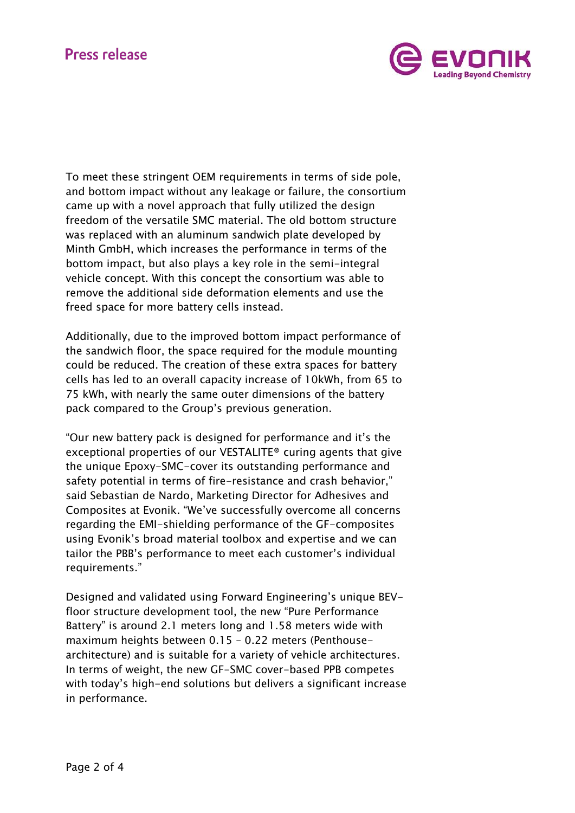# **Press release**



To meet these stringent OEM requirements in terms of side pole, and bottom impact without any leakage or failure, the consortium came up with a novel approach that fully utilized the design freedom of the versatile SMC material. The old bottom structure was replaced with an aluminum sandwich plate developed by Minth GmbH, which increases the performance in terms of the bottom impact, but also plays a key role in the semi-integral vehicle concept. With this concept the consortium was able to remove the additional side deformation elements and use the freed space for more battery cells instead.

Additionally, due to the improved bottom impact performance of the sandwich floor, the space required for the module mounting could be reduced. The creation of these extra spaces for battery cells has led to an overall capacity increase of 10kWh, from 65 to 75 kWh, with nearly the same outer dimensions of the battery pack compared to the Group's previous generation.

"Our new battery pack is designed for performance and it's the exceptional properties of our VESTALITE® curing agents that give the unique Epoxy-SMC-cover its outstanding performance and safety potential in terms of fire-resistance and crash behavior," said Sebastian de Nardo, Marketing Director for Adhesives and Composites at Evonik. "We've successfully overcome all concerns regarding the EMI-shielding performance of the GF-composites using Evonik's broad material toolbox and expertise and we can tailor the PBB's performance to meet each customer's individual requirements."

Designed and validated using Forward Engineering's unique BEVfloor structure development tool, the new "Pure Performance Battery" is around 2.1 meters long and 1.58 meters wide with maximum heights between 0.15 – 0.22 meters (Penthousearchitecture) and is suitable for a variety of vehicle architectures. In terms of weight, the new GF-SMC cover-based PPB competes with today's high-end solutions but delivers a significant increase in performance.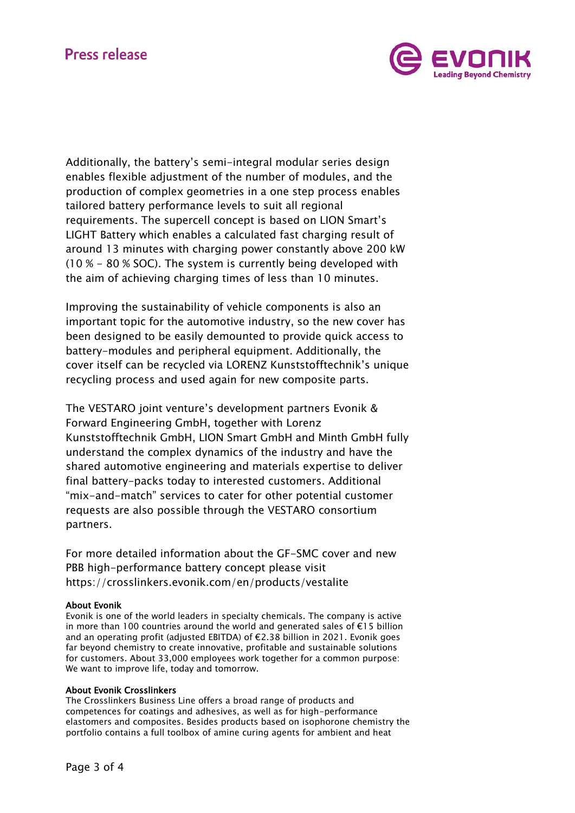# **Press release**



Additionally, the battery's semi-integral modular series design enables flexible adjustment of the number of modules, and the production of complex geometries in a one step process enables tailored battery performance levels to suit all regional requirements. The supercell concept is based on LION Smart's LIGHT Battery which enables a calculated fast charging result of around 13 minutes with charging power constantly above 200 kW (10 % - 80 % SOC). The system is currently being developed with the aim of achieving charging times of less than 10 minutes.

Improving the sustainability of vehicle components is also an important topic for the automotive industry, so the new cover has been designed to be easily demounted to provide quick access to battery-modules and peripheral equipment. Additionally, the cover itself can be recycled via LORENZ Kunststofftechnik's unique recycling process and used again for new composite parts.

The VESTARO joint venture's development partners Evonik & Forward Engineering GmbH, together with Lorenz Kunststofftechnik GmbH, LION Smart GmbH and Minth GmbH fully understand the complex dynamics of the industry and have the shared automotive engineering and materials expertise to deliver final battery-packs today to interested customers. Additional "mix-and-match" services to cater for other potential customer requests are also possible through the VESTARO consortium partners.

For more detailed information about the GF-SMC cover and new PBB high-performance battery concept please visit <https://crosslinkers.evonik.com/en/products/vestalite>

# About Evonik

Evonik is one of the world leaders in specialty chemicals. The company is active in more than 100 countries around the world and generated sales of  $\epsilon$ 15 billion and an operating profit (adjusted EBITDA) of €2.38 billion in 2021. Evonik goes far beyond chemistry to create innovative, profitable and sustainable solutions for customers. About 33,000 employees work together for a common purpose: We want to improve life, today and tomorrow.

# About Evonik Crosslinkers

The Crosslinkers Business Line offers a broad range of products and competences for coatings and adhesives, as well as for high-performance elastomers and composites. Besides products based on isophorone chemistry the portfolio contains a full toolbox of amine curing agents for ambient and heat